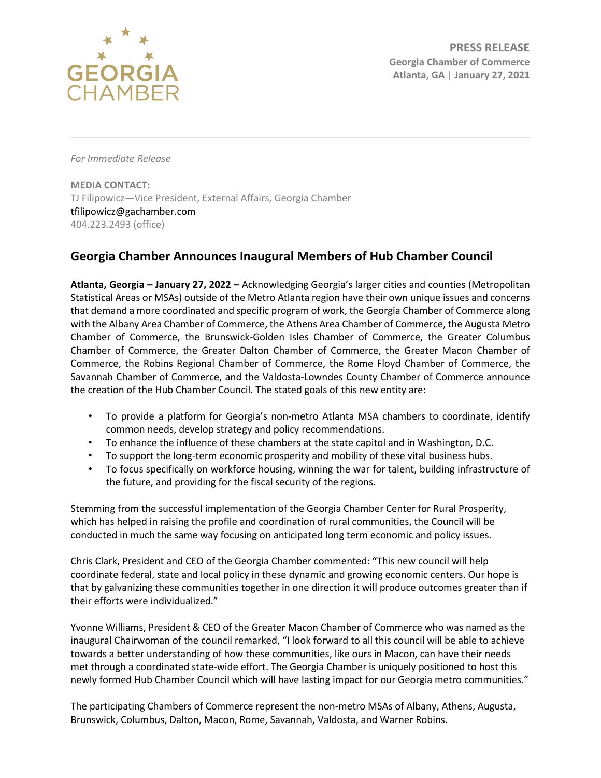

*For Immediate Release*

**MEDIA CONTACT:** TJ Filipowicz—Vice President, External Affairs, Georgia Chamber tfilipowicz@gachamber.com 404.223.2493 (office)

## **Georgia Chamber Announces Inaugural Members of Hub Chamber Council**

**Atlanta, Georgia – January 27, 2022 –** Acknowledging Georgia's larger cities and counties (Metropolitan Statistical Areas or MSAs) outside of the Metro Atlanta region have their own unique issues and concerns that demand a more coordinated and specific program of work, the Georgia Chamber of Commerce along with the Albany Area Chamber of Commerce, the Athens Area Chamber of Commerce, the Augusta Metro Chamber of Commerce, the Brunswick-Golden Isles Chamber of Commerce, the Greater Columbus Chamber of Commerce, the Greater Dalton Chamber of Commerce, the Greater Macon Chamber of Commerce, the Robins Regional Chamber of Commerce, the Rome Floyd Chamber of Commerce, the Savannah Chamber of Commerce, and the Valdosta-Lowndes County Chamber of Commerce announce the creation of the Hub Chamber Council. The stated goals of this new entity are:

- To provide a platform for Georgia's non-metro Atlanta MSA chambers to coordinate, identify common needs, develop strategy and policy recommendations.
- To enhance the influence of these chambers at the state capitol and in Washington, D.C.
- To support the long-term economic prosperity and mobility of these vital business hubs.
- To focus specifically on workforce housing, winning the war for talent, building infrastructure of the future, and providing for the fiscal security of the regions.

Stemming from the successful implementation of the Georgia Chamber Center for Rural Prosperity, which has helped in raising the profile and coordination of rural communities, the Council will be conducted in much the same way focusing on anticipated long term economic and policy issues.

Chris Clark, President and CEO of the Georgia Chamber commented: "This new council will help coordinate federal, state and local policy in these dynamic and growing economic centers. Our hope is that by galvanizing these communities together in one direction it will produce outcomes greater than if their efforts were individualized."

Yvonne Williams, President & CEO of the Greater Macon Chamber of Commerce who was named as the inaugural Chairwoman of the council remarked, "I look forward to all this council will be able to achieve towards a better understanding of how these communities, like ours in Macon, can have their needs met through a coordinated state-wide effort. The Georgia Chamber is uniquely positioned to host this newly formed Hub Chamber Council which will have lasting impact for our Georgia metro communities."

The participating Chambers of Commerce represent the non-metro MSAs of Albany, Athens, Augusta, Brunswick, Columbus, Dalton, Macon, Rome, Savannah, Valdosta, and Warner Robins.